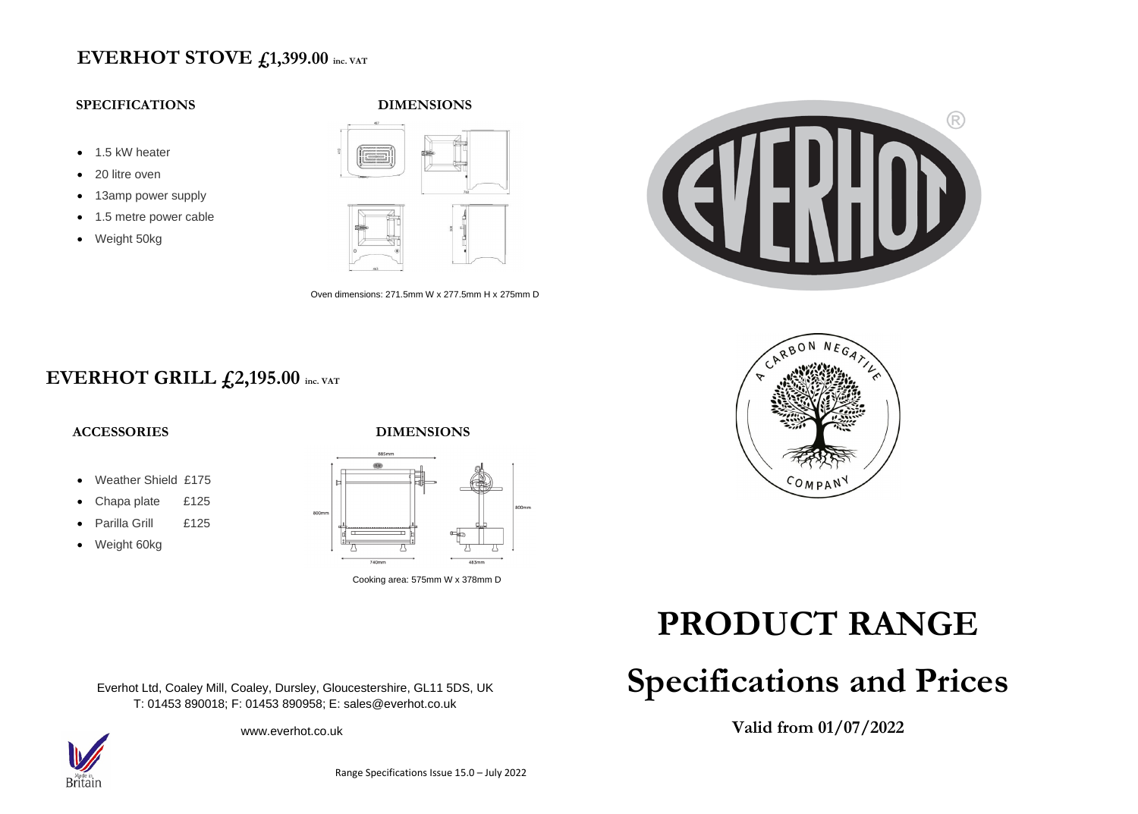### **EVERHOT STOVE £1,399.00 inc. VAT**

### **SPECIFICATIONS**

- 1.5 kW heater
- 20 litre oven
- 13amp power supply
- 1.5 metre power cable
- Weight 50kg





Oven dimensions: 271.5mm W x 277.5mm H x 275mm D



## **EVERHOT GRILL £2,195.00 inc. VAT**



- Weather Shield £175
- Chapa plate £125
- Parilla Grill £125
- Weight 60kg

Everhot Ltd, Coaley Mill, Coaley, Dursley, Gloucestershire, GL11 5DS, UK T: 01453 890018; F: 01453 890958; E: sales@everhot.co.uk

www.everhot.co.uk



# **PRODUCT RANGE**

# **Specifications and Prices**

**Valid from 01/07/2022**



Cooking area: 575mm W x 378mm D